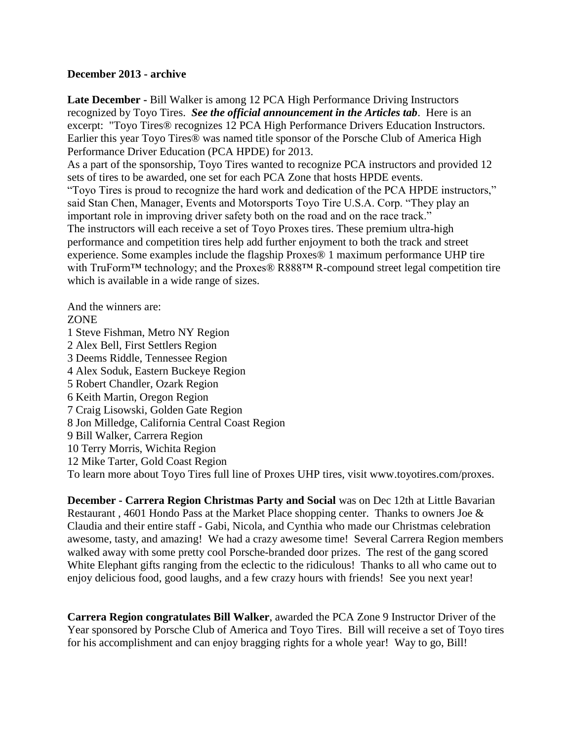## **December 2013 - archive**

**Late December -** Bill Walker is among 12 PCA High Performance Driving Instructors recognized by Toyo Tires. *See the official announcement in the Articles tab*. Here is an excerpt: "Toyo Tires® recognizes 12 PCA High Performance Drivers Education Instructors. Earlier this year Toyo Tires® was named title sponsor of the Porsche Club of America High Performance Driver Education (PCA HPDE) for 2013.

As a part of the sponsorship, Toyo Tires wanted to recognize PCA instructors and provided 12 sets of tires to be awarded, one set for each PCA Zone that hosts HPDE events.

"Toyo Tires is proud to recognize the hard work and dedication of the PCA HPDE instructors," said Stan Chen, Manager, Events and Motorsports Toyo Tire U.S.A. Corp. "They play an important role in improving driver safety both on the road and on the race track." The instructors will each receive a set of Toyo Proxes tires. These premium ultra-high performance and competition tires help add further enjoyment to both the track and street experience. Some examples include the flagship Proxes® 1 maximum performance UHP tire with TruForm<sup>™</sup> technology; and the Proxes® R888<sup>™</sup> R-compound street legal competition tire which is available in a wide range of sizes.

And the winners are: ZONE 1 Steve Fishman, Metro NY Region 2 Alex Bell, First Settlers Region 3 Deems Riddle, Tennessee Region 4 Alex Soduk, Eastern Buckeye Region 5 Robert Chandler, Ozark Region 6 Keith Martin, Oregon Region 7 Craig Lisowski, Golden Gate Region 8 Jon Milledge, California Central Coast Region 9 Bill Walker, Carrera Region 10 Terry Morris, Wichita Region 12 Mike Tarter, Gold Coast Region To learn more about Toyo Tires full line of Proxes UHP tires, visit www.toyotires.com/proxes.

**December - Carrera Region Christmas Party and Social** was on Dec 12th at Little Bavarian Restaurant , 4601 Hondo Pass at the Market Place shopping center. Thanks to owners Joe & Claudia and their entire staff - Gabi, Nicola, and Cynthia who made our Christmas celebration awesome, tasty, and amazing! We had a crazy awesome time! Several Carrera Region members walked away with some pretty cool Porsche-branded door prizes. The rest of the gang scored White Elephant gifts ranging from the eclectic to the ridiculous! Thanks to all who came out to enjoy delicious food, good laughs, and a few crazy hours with friends! See you next year!

**Carrera Region congratulates Bill Walker**, awarded the PCA Zone 9 Instructor Driver of the Year sponsored by Porsche Club of America and Toyo Tires. Bill will receive a set of Toyo tires for his accomplishment and can enjoy bragging rights for a whole year! Way to go, Bill!